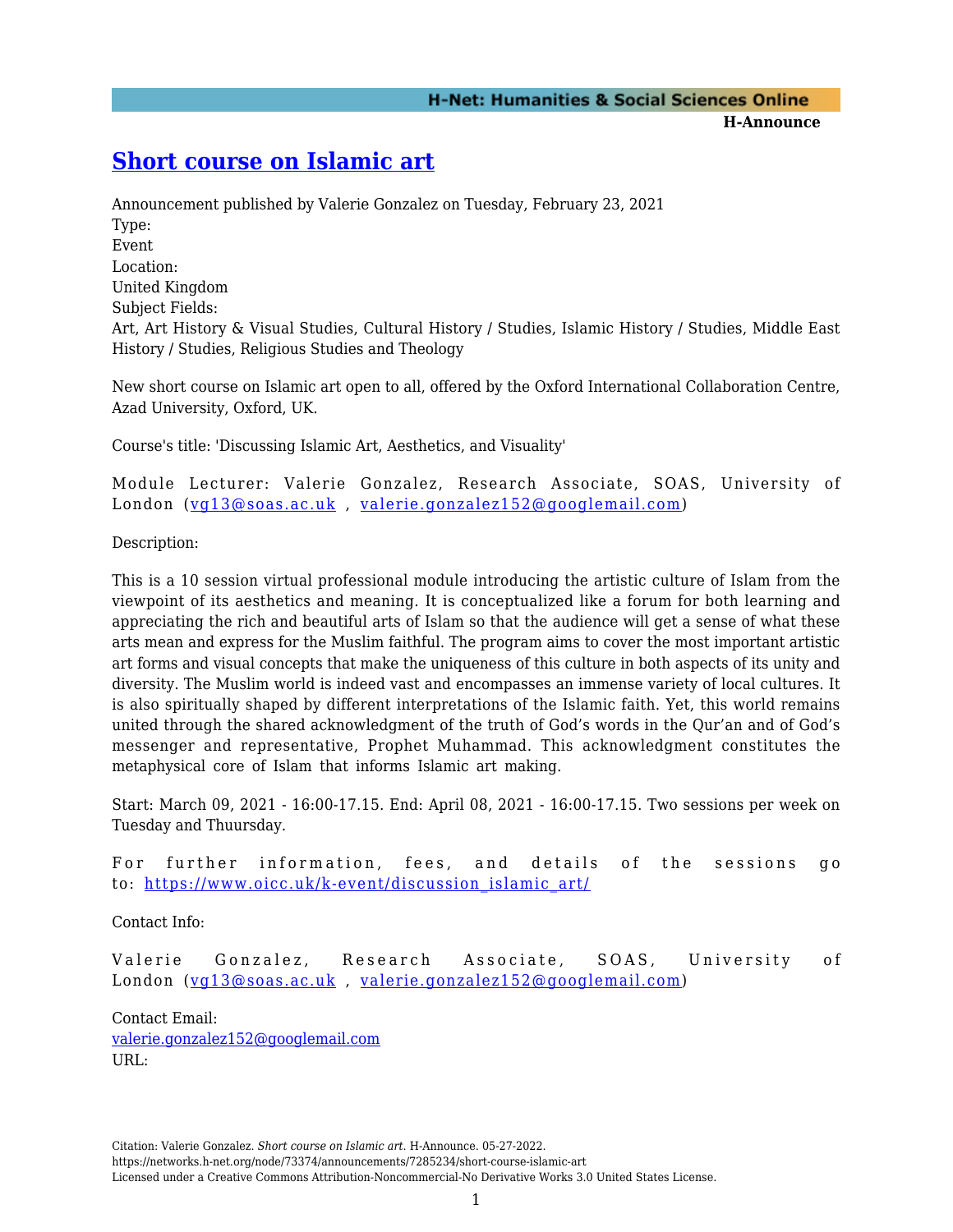## **[Short course on Islamic art](https://networks.h-net.org/node/73374/announcements/7285234/short-course-islamic-art)**

Announcement published by Valerie Gonzalez on Tuesday, February 23, 2021 Type: Event Location: United Kingdom Subject Fields: Art, Art History & Visual Studies, Cultural History / Studies, Islamic History / Studies, Middle East History / Studies, Religious Studies and Theology

New short course on Islamic art open to all, offered by the Oxford International Collaboration Centre, Azad University, Oxford, UK.

Course's title: 'Discussing Islamic Art, Aesthetics, and Visuality'

Module Lecturer: Valerie Gonzalez, Research Associate, SOAS, University of London ([vg13@soas.ac.uk](mailto:vg13@soas.ac.uk) , [valerie.gonzalez152@googlemail.com](mailto:valerie.gonzalez152@googlemail.com))

Description:

This is a 10 session virtual professional module introducing the artistic culture of Islam from the viewpoint of its aesthetics and meaning. It is conceptualized like a forum for both learning and appreciating the rich and beautiful arts of Islam so that the audience will get a sense of what these arts mean and express for the Muslim faithful. The program aims to cover the most important artistic art forms and visual concepts that make the uniqueness of this culture in both aspects of its unity and diversity. The Muslim world is indeed vast and encompasses an immense variety of local cultures. It is also spiritually shaped by different interpretations of the Islamic faith. Yet, this world remains united through the shared acknowledgment of the truth of God's words in the Qur'an and of God's messenger and representative, Prophet Muhammad. This acknowledgment constitutes the metaphysical core of Islam that informs Islamic art making.

Start: March 09, 2021 - 16:00-17.15. End: April 08, 2021 - 16:00-17.15. Two sessions per week on Tuesday and Thuursday.

For further information, fees, and details of the sessions go to: [https://www.oicc.uk/k-event/discussion\\_islamic\\_art/](https://www.oicc.uk/k-event/discussion_islamic_art/)

Contact Info:

Valerie Gonzalez, Research Associate, SOAS, University of London ([vg13@soas.ac.uk](mailto:vg13@soas.ac.uk) , [valerie.gonzalez152@googlemail.com](mailto:valerie.gonzalez152@googlemail.com))

Contact Email: [valerie.gonzalez152@googlemail.com](mailto:valerie.gonzalez152@googlemail.com) URL:

Citation: Valerie Gonzalez. *Short course on Islamic art*. H-Announce. 05-27-2022.

https://networks.h-net.org/node/73374/announcements/7285234/short-course-islamic-art

Licensed under a Creative Commons Attribution-Noncommercial-No Derivative Works 3.0 United States License.